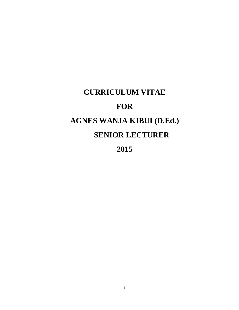# <span id="page-0-0"></span>**CURRICULUM VITAE FOR AGNES WANJA KIBUI (D.Ed.) SENIOR LECTURER**

**2015**

i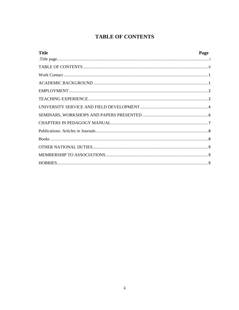### **TABLE OF CONTENTS**

<span id="page-1-0"></span>

| <b>Title</b> | Page |
|--------------|------|
|              |      |
|              |      |
|              |      |
|              |      |
|              |      |
|              |      |
|              |      |
|              |      |
|              |      |
|              |      |
|              |      |
|              |      |
|              |      |
|              |      |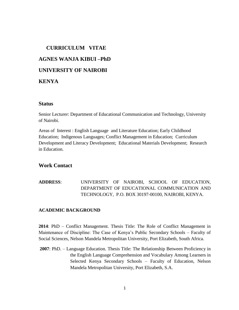## **CURRICULUM VITAE AGNES WANJA KIBUI –PhD UNIVERSITY OF NAIROBI KENYA**

#### **Status**

Senior Lecturer: Department of Educational Communication and Technology, University of Nairobi.

Areas of Interest : English Language and Literature Education; Early Childhood Education; Indigenous Languages; Conflict Management in Education; Curriculum Development and Literacy Development; Educational Materials Development; Research in Education.

#### <span id="page-2-0"></span>**Work Contact**

**ADDRESS**: UNIVERSITY OF NAIROBI, SCHOOL OF EDUCATION, DEPARTMENT OF EDUCATIONAL COMMUNICATION AND TECHNOLOGY, P.O. BOX 30197-00100, NAIROBI, KENYA.

#### <span id="page-2-1"></span>**ACADEMIC BACKGROUND**

**2014**: PhD – Conflict Management. Thesis Title: The Role of Conflict Management in Maintenance of Discipline: The Case of Kenya's Public Secondary Schools – Faculty of Social Sciences, Nelson Mandela Metropolitan University, Port Elizabeth, South Africa.

**2007**: PhD. – Language Education. Thesis Title: The Relationship Between Proficiency in the English Language Comprehension and Vocabulary Among Learners in Selected Kenya Secondary Schools – Faculty of Education, Nelson Mandela Metropolitan University, Port Elizabeth, S.A.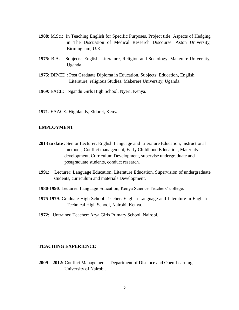- **1988**: M.Sc.: In Teaching English for Specific Purposes. Project title: Aspects of Hedging in The Discussion of Medical Research Discourse. Aston University, Birmingham, U.K.
- **1975:** B.A. Subjects: English, Literature, Religion and Sociology. Makerere University, Uganda.
- **1975**: DIP/ED.: Post Graduate Diploma in Education. Subjects: Education, English, Literature, religious Studies. Makerere University, Uganda.
- **1969**: EACE: Ngandu Girls High School, Nyeri, Kenya.
- **1971**: EAACE: Highlands, Eldoret, Kenya.

#### <span id="page-3-0"></span>**EMPLOYMENT**

- **2013 to date** : Senior Lecturer: English Language and Literature Education, Instructional methods, Conflict management, Early Childhood Education, Materials development, Curriculum Development, supervise undergraduate and postgraduate students, conduct research.
- **1991**: Lecturer: Language Education, Literature Education, Supervision of undergraduate students, curriculum and materials Development.
- **1980-1990**: Lecturer: Language Education, Kenya Science Teachers' college.
- **1975-1979**: Graduate High School Teacher: English Language and Literature in English Technical High School, Nairobi, Kenya.
- **1972**: Untrained Teacher: Arya Girls Primary School, Nairobi.

#### <span id="page-3-1"></span>**TEACHING EXPERIENCE**

**2009 – 2012:** Conflict Management – Department of Distance and Open Learning, University of Nairobi.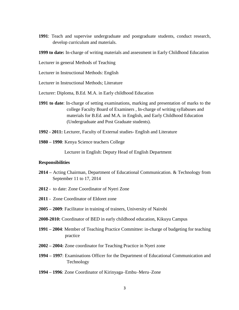**1991**: Teach and supervise undergraduate and postgraduate students, conduct research, develop curriculum and materials.

**1999 to date:** In-charge of writing materials and assessment in Early Childhood Education

Lecturer in general Methods of Teaching

Lecturer in Instructional Methods: English

Lecturer in Instructional Methods; Literature

- Lecturer: Diploma, B.Ed. M.A. in Early childhood Education
- **1991 to date**: In-charge of setting examinations, marking and presentation of marks to the college Faculty Board of Examiners , In-charge of writing syllabuses and materials for B.Ed. and M.A. in English, and Early Childhood Education (Undergraduate and Post Graduate students).
- **1992 - 2011:** Lecturer, Faculty of External studies- English and Literature
- **1980 – 1990**: Kenya Science teachers College

Lecturer in English: Deputy Head of English Department

#### **Responsibilities**

- **2014 –** Acting Chairman, Department of Educational Communication. & Technology from September 11 to 17, 2014
- **2012**  to date: Zone Coordinator of Nyeri Zone
- **2011** Zone Coordinator of Eldoret zone
- **2005 – 2009**: Facilitator in training of trainers, University of Nairobi
- **2008-2010:** Coordinator of BED in early childhood education, Kikuyu Campus
- **1991 – 2004**: Member of Teaching Practice Committee: in-charge of budgeting for teaching practice
- **2002 – 2004:** Zone coordinator for Teaching Practice in Nyeri zone
- **1994 – 1997**: Examinations Officer for the Department of Educational Communication and Technology
- **1994 – 1996**: Zone Coordinator of Kirinyaga–Embu–Meru–Zone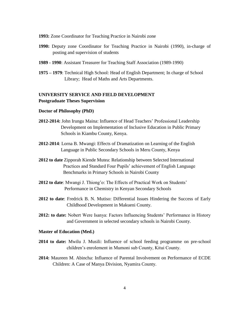#### **1993:** Zone Coordinator for Teaching Practice in Nairobi zone

- **1990:** Deputy zone Coordinator for Teaching Practice in Nairobi (1990), in-charge of posting and supervision of students
- **1989 - 1990**: Assistant Treasurer for Teaching Staff Association (1989-1990)
- **1975 – 1979**: Technical High School: Head of English Department; In charge of School Library; Head of Maths and Arts Departments.

#### <span id="page-5-0"></span>**UNIVERSITY SERVICE AND FIELD DEVELOPMENT Postgraduate Theses Supervision**

#### **Doctor of Philosophy (PhD)**

- **2012-2014:** John Irungu Maina: Influence of Head Teachers' Professional Leadership Development on Implementation of Inclusive Education in Public Primary Schools in Kiambu County, Kenya.
- **2012-2014**: Lorna B. Mwangi: Effects of Dramatization on Learning of the English Language in Public Secondary Schools in Meru County, Kenya
- **2012 to date** Zipporah Kiende Mutea: Relationship between Selected International Practices and Standard Four Pupils' achievement of English Language Benchmarks in Primary Schools in Nairobi County
- **2012 to date**: Mwangi J. Thiong'o: The Effects of Practical Work on Students' Performance in Chemistry in Kenyan Secondary Schools
- **2012 to date**: Fredrick B. N. Mutiso: Differential Issues Hindering the Success of Early Childhood Development in Makueni County.
- **2012: to date:** Nobert Were Isanya: Factors Influencing Students' Performance in History and Government in selected secondary schools in Nairobi County.

#### **Master of Education (Med.)**

- **2014 to date:** Mwilu J. Musili: Influence of school feeding programme on pre-school children's enrolement in Mumoni sub County, Kitui County.
- **2014:** Maureen M. Abincha: Influence of Parental Involvement on Performance of ECDE Children: A Case of Manya Division, Nyamira County.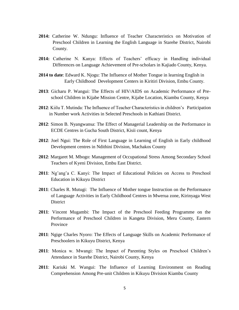- **2014:** Catherine W. Ndungu: Influence of Teacher Characteristics on Motivation of Preschool Children in Learning the English Language in Starehe District, Nairobi County.
- **2014:** Catherine N. Kanya: Effects of Teachers' efficacy in Handling individual Differences on Language Achievement of Pre-scholars in Kajiado County, Kenya.
- **2014 to date**: Edward K. Njogu: The Influence of Mother Tongue in learning English in Early Childhood Development Centers in Kiritiri Division, Embu County.
- **2013**: Gicharu P. Wangui: The Effects of HIV/AIDS on Academic Performance of Preschool Children in Kijabe Mission Centre, Kijabe Location, Kiambu County, Kenya
- **2012**: Kiilu T. Mutinda: The Influence of Teacher Characteristics in children's Participation in Number work Activities in Selected Preschools in Kathiani District.
- **2012**: Simon B. Nyangwansa: The Effect of Managerial Leadership on the Performance in ECDE Centres in Gucha South District, Kisii count, Kenya
- **2012**: Joel Ngui: The Role of First Language in Learning of English in Early childhood Development centres in Ndithini Division, Machakos County
- **2012**: Margaret M. Mbogo: Management of Occupational Stress Among Secondary School Teachers of Kyeni Division, Embu East District.
- **2011**: Ng'ang'a C. Kanyi: The Impact of Educational Policies on Access to Preschool Education in Kikuyu District
- **2011**: Charles R. Mutugi: The Influence of Mother tongue Instruction on the Performance of Language Activities in Early Childhood Centres in Mwerua zone, Kirinyaga West **District**
- **2011**: Vincent Mugambi: The Impact of the Preschool Feeding Programme on the Performance of Preschool Children in Kangeta Division, Meru County, Eastern Province
- **2011**: Ngige Charles Nyoro: The Effects of Language Skills on Academic Performance of Preschoolers in Kikuyu District, Kenya
- **2011**: Monica w. Mwangi: The Impact of Parenting Styles on Preschool Children's Attendance in Starehe District, Nairobi County, Kenya
- **2011**: Kariuki M. Wangui: The Influence of Learning Environment on Reading Comprehension Among Pre-unit Children in Kikuyu Division Kiambu County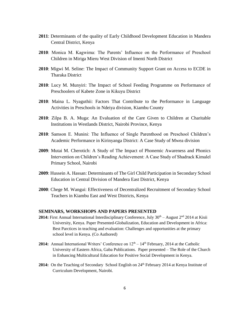- **2011**: Determinants of the quality of Early Childhood Development Education in Mandera Central District, Kenya
- **2010**: Monica M. Kagwima: The Parents' Influence on the Performance of Preschool Children in Miriga Mieru West Division of Imenti North District
- **2010**: Migwi M. Seline: The Impact of Community Support Grant on Access to ECDE in Tharaka District
- **2010**: Lucy M. Munyiri: The Impact of School Feeding Programme on Performance of Preschoolers of Kabete Zone in Kikuyu District
- **2010**: Maina L. Nyaguthii: Factors That Contribute to the Performance in Language Activities in Preschools in Ndeiya division, Kiambu County
- **2010**: Zilpa B. A. Muga: An Evaluation of the Care Given to Children at Charitable Institutions in Westlands District, Nairobi Province, Kenya
- **2010**: Samson E. Munini: The Influence of Single Parenthood on Preschool Children's Academic Performance in Kirinyanga District: A Case Study of Mwea division
- **2009**: Mutai M. Cherotich: A Study of The Impact of Phonemic Awareness and Phonics Intervention on Children's Reading Achievement: A Case Study of Shadrack Kimalel Primary School, Nairobi
- **2009**: Hussein A. Hassan: Determinants of The Girl Child Participation in Secondary School Education in Central Division of Mandera East District, Kenya
- **2000**: Chege M. Wangui: Effectiveness of Decentralized Recruitment of Secondary School Teachers in Kiambu East and West Districts, Kenya

#### <span id="page-7-0"></span>**SEMINARS, WORKSHOPS AND PAPERS PRESENTED**

- **2014:** First Annual International Interdisciplinary Conference, July  $30<sup>th</sup>$  August  $2<sup>nd</sup>$  2014 at Kisii University, Kenya. Paper Presented-Globalization, Education and Development in Africa: Best Parctices in teaching and evaluation: Challenges and opportunities at the primary school level in Kenya. (Co Authored)
- **2014:** Annual International Writers' Conference on  $12<sup>th</sup> 14<sup>th</sup>$  February, 2014 at the Catholic University of Eastern Africa, Gaba Publications. Paper presented – The Role of the Church in Enhancing Multicultural Education for Positive Social Development in Kenya.
- 2014: On the Teaching of Secondary School English on 24<sup>th</sup> February 2014 at Kenya Institute of Curriculum Development, Nairobi.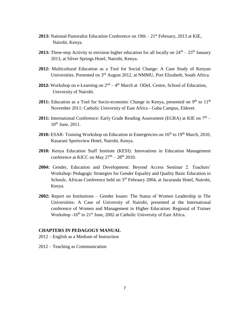- **2013:** National Pastoralist Education Conference on 19th 21<sup>st</sup> February, 2013 at KIE, Nairobi, Kenya.
- **2013:** Three-step Activity to envision higher education for all locally on  $24<sup>th</sup> 25<sup>th</sup>$  January 2013, at Silver Springs Hotel, Nairobi, Kenya.
- **2012:** Multicultural Education as a Tool for Social Change: A Case Study of Kenyan Universities. Presented on 3rd August 2012, at NMMU, Port Elizabeth, South Africa.
- **2012:** Workshop on e-Learning on  $2^{nd} 4^{th}$  March at ODeL Centre, School of Education, University of Nairobi.
- 2011: Education as a Tool for Socio-economic Change in Kenya, presented on 9<sup>th</sup> to 11<sup>th</sup> November 2011: Catholic University of East Africa - Gaba Campus, Eldoret.
- 2011: International Conference: Early Grade Reading Assessment (EGRA) at KIE on 7<sup>th</sup> 10<sup>th</sup> June, 2011.
- 2010: ESAR- Training Workshop on Education in Emergencies on 16<sup>th</sup> to 19<sup>th</sup> March, 2010, Kasarani Sportsview Hotel, Nairobi, Kenya.
- **2010:** Kenya Education Staff Institute (KESI): Innovations in Education Management conference at KICC on May  $27<sup>th</sup> - 28<sup>th</sup>$  2010.
- **2004:** Gender, Education and Development: Beyond Access Seminar 2. Teachers' Workshop: Pedagogic Strategies for Gender Equality and Quality Basic Education in Schools. African Conference held on 3<sup>rd</sup> February 2004, at Jacaranda Hotel, Nairobi, Kenya.
- **2002:** Report on Institutions Gender Issues: The Status of Women Leadership in The Universities: A Case of University of Nairobi, presented at the International conference of Women and Management in Higher Education: Regional of Trainer Workshop  $-16<sup>th</sup>$  to  $21<sup>st</sup>$  June, 2002 at Catholic University of East Africa.

#### <span id="page-8-0"></span>**CHAPTERS IN PEDAGOGY MANUAL**

2012 – English as a Medium of Instruction

2012 – Teaching as Communication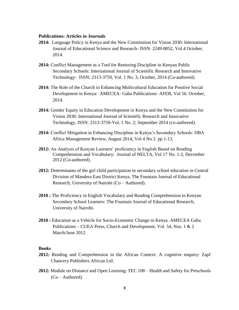#### <span id="page-9-0"></span>**Publications: Articles in Journals**

- **2014:** Language Policy in Kenya and the New Constitution for Vision 2030: International Journal of Educational Science and Research- ISSN: 2249-8052, Vol.4 October, 2014.
- **2014:** Conflict Management as a Tool for Restoring Discipline in Kenyan Public Secondary Schools: International Journal of Scientific Research and Innovative Technology- ISSN: 2313-3759, Vol. 1 No. 3, October, 2014 (Co-authored).
- **2014:** The Role of the Church in Enhancing Multicultural Education for Positive Social Development in Kenya: AMECEA- Gaba Publications- AFER, Vol 56. October, 2014.
- **2014:** Gender Equity in Education Development in Kenya and the New Constitution for Vision 2030: International Journal of Scientific Research and Innovative Technology, ISSN: 2313-3759-Vol. 1 No. 2; September 2014 (co-authored).
- **2014:** Conflict Mitigation in Enhancing Discipline in Kenya's Secondary Schools: DBA Africa Management Review, August 2014, Vol 4 No 2. pp 1-13.
- **2012:** An Analysis of Kenyan Learners' proficiency in English Based on Reading Comprehension and Vocabulary: Journal of NELTA, Vol 17 No. 1-2, December 2012 (Co-authored).
- **2012:** Determinants of the girl child participation in secondary school education in Central Division of Mandera East District Kenya. The Fountain Journal of Educational Research, University of Nairobi (Co – Authored).
- **2010 :** The Proficiency in English Vocabulary and Reading Comprehension in Kenyan Secondary School Learners: The Fountain Journal of Educational Research, University of Nairobi.
- **2010 :** Education as a Vehicle for Socio-Economic Change in Kenya. AMECEA Gaba Publications – CUEA Press, Church and Development. Vol. 54, Nos. 1 & 2 March/June 2012

#### <span id="page-9-1"></span>**Books**

- **2012:** Reading and Comprehension in the African Context: A cognitive enquiry: Zapf Chancery Publishers African Ltd.
- **2012:** Module on Distance and Open Learning: TEC 108 Health and Safety for Preschools (Co – Authored).